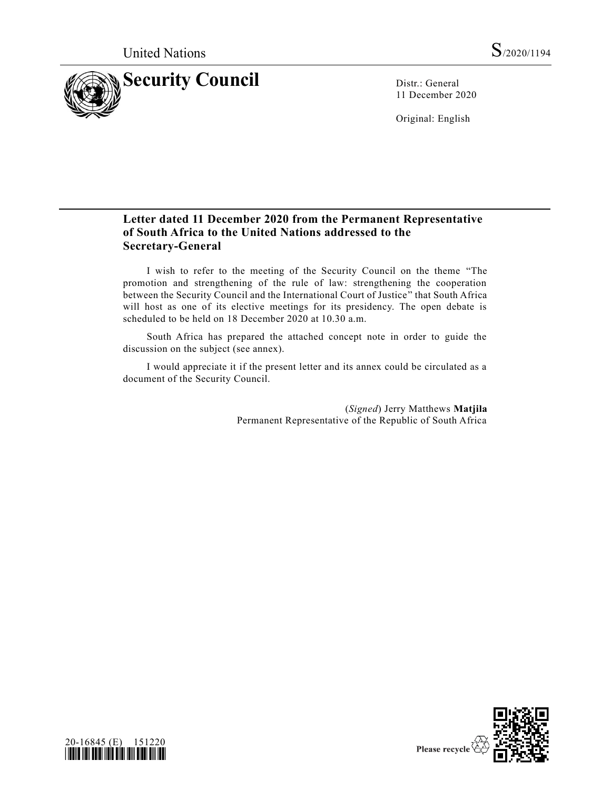

11 December 2020

Original: English

# **Letter dated 11 December 2020 from the Permanent Representative of South Africa to the United Nations addressed to the Secretary-General**

I wish to refer to the meeting of the Security Council on the theme "The promotion and strengthening of the rule of law: strengthening the cooperation between the Security Council and the International Court of Justice" that South Africa will host as one of its elective meetings for its presidency. The open debate is scheduled to be held on 18 December 2020 at 10.30 a.m.

South Africa has prepared the attached concept note in order to guide the discussion on the subject (see annex).

I would appreciate it if the present letter and its annex could be circulated as a document of the Security Council.

> (*Signed*) Jerry Matthews **Matjila** Permanent Representative of the Republic of South Africa



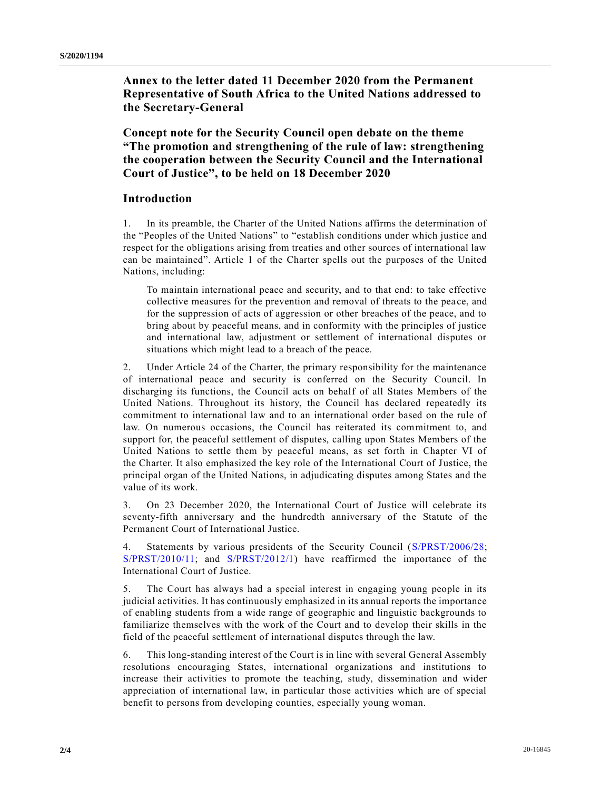**Annex to the letter dated 11 December 2020 from the Permanent Representative of South Africa to the United Nations addressed to the Secretary-General**

**Concept note for the Security Council open debate on the theme "The promotion and strengthening of the rule of law: strengthening the cooperation between the Security Council and the International Court of Justice", to be held on 18 December 2020**

# **Introduction**

1. In its preamble, the Charter of the United Nations affirms the determination of the "Peoples of the United Nations" to "establish conditions under which justice and respect for the obligations arising from treaties and other sources of international law can be maintained". Article 1 of the Charter spells out the purposes of the United Nations, including:

To maintain international peace and security, and to that end: to take effective collective measures for the prevention and removal of threats to the pea ce, and for the suppression of acts of aggression or other breaches of the peace, and to bring about by peaceful means, and in conformity with the principles of justice and international law, adjustment or settlement of international disputes or situations which might lead to a breach of the peace.

2. Under Article 24 of the Charter, the primary responsibility for the maintenance of international peace and security is conferred on the Security Council. In discharging its functions, the Council acts on behalf of all States Members of the United Nations. Throughout its history, the Council has declared repeatedly its commitment to international law and to an international order based on the rule of law. On numerous occasions, the Council has reiterated its commitment to, and support for, the peaceful settlement of disputes, calling upon States Members of the United Nations to settle them by peaceful means, as set forth in Chapter VI of the Charter. It also emphasized the key role of the International Court of Justice, the principal organ of the United Nations, in adjudicating disputes among States and the value of its work.

3. On 23 December 2020, the International Court of Justice will celebrate its seventy-fifth anniversary and the hundredth anniversary of the Statute of the Permanent Court of International Justice.

4. Statements by various presidents of the Security Council [\(S/PRST/2006/28;](https://undocs.org/en/S/PRST/2006/28) [S/PRST/2010/11;](https://undocs.org/en/S/PRST/2010/11) and [S/PRST/2012/1\)](https://undocs.org/en/S/PRST/2012/1) have reaffirmed the importance of the International Court of Justice.

5. The Court has always had a special interest in engaging young people in its judicial activities. It has continuously emphasized in its annual reports the importance of enabling students from a wide range of geographic and linguistic backgrounds to familiarize themselves with the work of the Court and to develop their skills in the field of the peaceful settlement of international disputes through the law.

6. This long-standing interest of the Court is in line with several General Assembly resolutions encouraging States, international organizations and institutions to increase their activities to promote the teaching, study, dissemination and wider appreciation of international law, in particular those activities which are of special benefit to persons from developing counties, especially young woman.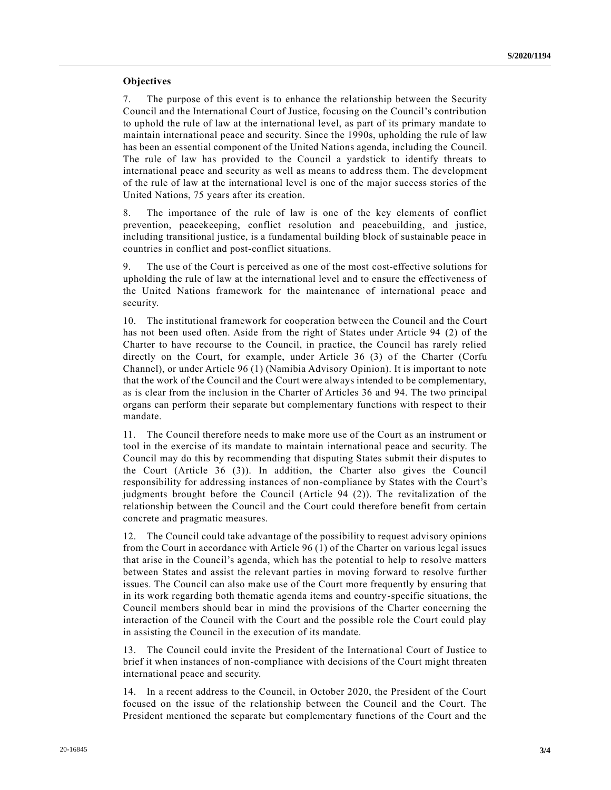## **Objectives**

7. The purpose of this event is to enhance the relationship between the Security Council and the International Court of Justice, focusing on the Council's contribution to uphold the rule of law at the international level, as part of its primary mandate to maintain international peace and security. Since the 1990s, upholding the rule of law has been an essential component of the United Nations agenda, including the Council. The rule of law has provided to the Council a yardstick to identify threats to international peace and security as well as means to address them. The development of the rule of law at the international level is one of the major success stories of the United Nations, 75 years after its creation.

8. The importance of the rule of law is one of the key elements of conflict prevention, peacekeeping, conflict resolution and peacebuilding, and justice, including transitional justice, is a fundamental building block of sustainable peace in countries in conflict and post-conflict situations.

9. The use of the Court is perceived as one of the most cost-effective solutions for upholding the rule of law at the international level and to ensure the effectiveness of the United Nations framework for the maintenance of international peace and security.

10. The institutional framework for cooperation between the Council and the Court has not been used often. Aside from the right of States under Article 94 (2) of the Charter to have recourse to the Council, in practice, the Council has rarely relied directly on the Court, for example, under Article 36 (3) of the Charter (Corfu Channel), or under Article 96 (1) (Namibia Advisory Opinion). It is important to note that the work of the Council and the Court were always intended to be complementary, as is clear from the inclusion in the Charter of Articles 36 and 94. The two principal organs can perform their separate but complementary functions with respect to their mandate.

11. The Council therefore needs to make more use of the Court as an instrument or tool in the exercise of its mandate to maintain international peace and security. The Council may do this by recommending that disputing States submit their disputes to the Court (Article 36 (3)). In addition, the Charter also gives the Council responsibility for addressing instances of non-compliance by States with the Court's judgments brought before the Council (Article 94 (2)). The revitalization of the relationship between the Council and the Court could therefore benefit from certain concrete and pragmatic measures.

12. The Council could take advantage of the possibility to request advisory opinions from the Court in accordance with Article 96 (1) of the Charter on various legal issues that arise in the Council's agenda, which has the potential to help to resolve matters between States and assist the relevant parties in moving forward to resolve further issues. The Council can also make use of the Court more frequently by ensuring that in its work regarding both thematic agenda items and country-specific situations, the Council members should bear in mind the provisions of the Charter concerning the interaction of the Council with the Court and the possible role the Court could play in assisting the Council in the execution of its mandate.

13. The Council could invite the President of the International Court of Justice to brief it when instances of non-compliance with decisions of the Court might threaten international peace and security.

14. In a recent address to the Council, in October 2020, the President of the Court focused on the issue of the relationship between the Council and the Court. The President mentioned the separate but complementary functions of the Court and the